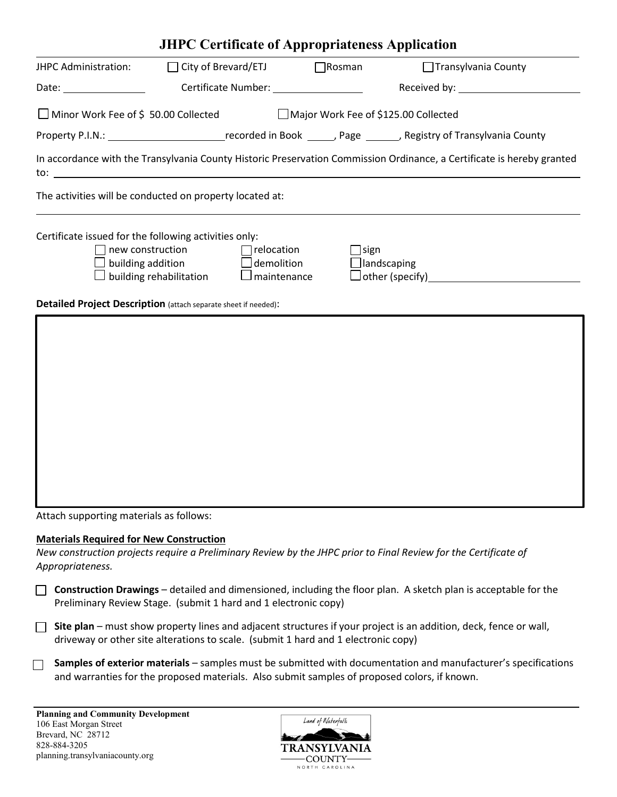| <b>JHPC Certificate of Appropriateness Application</b>                         |                            |                    |                    |                                                                                                                        |  |  |  |  |
|--------------------------------------------------------------------------------|----------------------------|--------------------|--------------------|------------------------------------------------------------------------------------------------------------------------|--|--|--|--|
| JHPC Administration:                                                           | $\Box$ City of Brevard/ETJ |                    | $\bigcap$ Rosman   | □ Transylvania County                                                                                                  |  |  |  |  |
|                                                                                |                            |                    |                    | Received by: 1999 March 2008 March 2009                                                                                |  |  |  |  |
| □ Minor Work Fee of \$50.00 Collected and Dajor Work Fee of \$125.00 Collected |                            |                    |                    |                                                                                                                        |  |  |  |  |
|                                                                                |                            |                    |                    |                                                                                                                        |  |  |  |  |
|                                                                                |                            |                    |                    | In accordance with the Transylvania County Historic Preservation Commission Ordinance, a Certificate is hereby granted |  |  |  |  |
| The activities will be conducted on property located at:                       |                            |                    |                    |                                                                                                                        |  |  |  |  |
| Certificate issued for the following activities only:                          |                            |                    |                    |                                                                                                                        |  |  |  |  |
| $\Box$ new construction $\Box$ relocation                                      |                            |                    | $\Box$ sign        |                                                                                                                        |  |  |  |  |
| $\Box$ building addition $\Box$ demolition                                     |                            |                    | $\Box$ landscaping |                                                                                                                        |  |  |  |  |
|                                                                                | building rehabilitation    | $\Box$ maintenance |                    | Dother (specify)<br><u>Dother (specify)</u>                                                                            |  |  |  |  |
| Detailed Project Description (attach separate sheet if needed):                |                            |                    |                    |                                                                                                                        |  |  |  |  |
|                                                                                |                            |                    |                    |                                                                                                                        |  |  |  |  |
|                                                                                |                            |                    |                    |                                                                                                                        |  |  |  |  |
|                                                                                |                            |                    |                    |                                                                                                                        |  |  |  |  |
|                                                                                |                            |                    |                    |                                                                                                                        |  |  |  |  |

Attach supporting materials as follows:

## **Materials Required for New Construction**

*New construction projects require a Preliminary Review by the JHPC prior to Final Review for the Certificate of Appropriateness.*

**Construction Drawings** – detailed and dimensioned, including the floor plan. A sketch plan is acceptable for the Preliminary Review Stage. (submit 1 hard and 1 electronic copy)

**Site plan** – must show property lines and adjacent structures if your project is an addition, deck, fence or wall, driveway or other site alterations to scale. (submit 1 hard and 1 electronic copy)

**Samples of exterior materials** – samples must be submitted with documentation and manufacturer's specifications and warranties for the proposed materials. Also submit samples of proposed colors, if known.